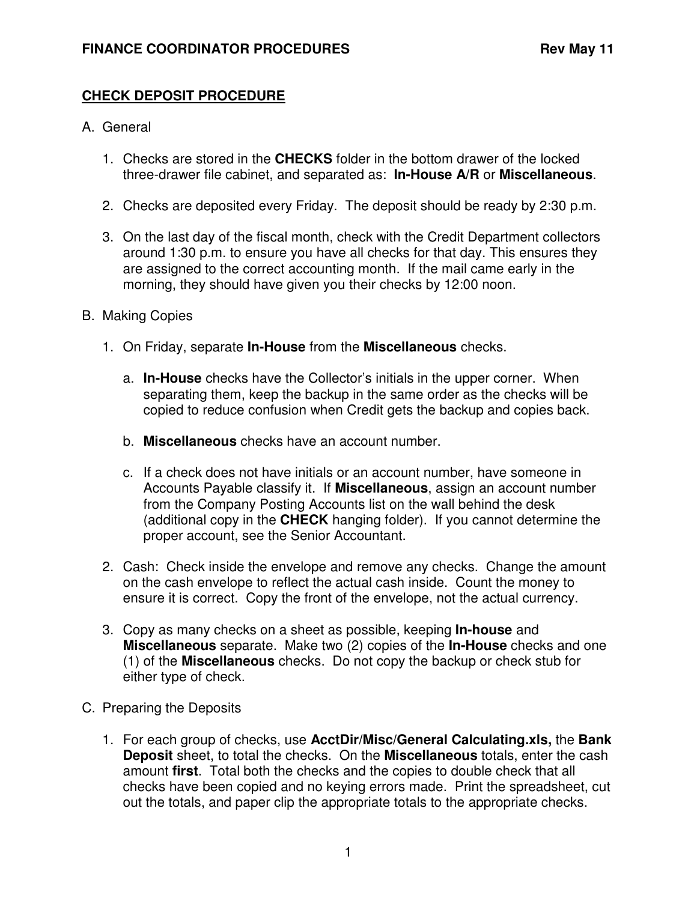## **CHECK DEPOSIT PROCEDURE**

## A. General

- 1. Checks are stored in the **CHECKS** folder in the bottom drawer of the locked three-drawer file cabinet, and separated as: **In-House A/R** or **Miscellaneous**.
- 2. Checks are deposited every Friday. The deposit should be ready by 2:30 p.m.
- 3. On the last day of the fiscal month, check with the Credit Department collectors around 1:30 p.m. to ensure you have all checks for that day. This ensures they are assigned to the correct accounting month. If the mail came early in the morning, they should have given you their checks by 12:00 noon.

## B. Making Copies

- 1. On Friday, separate **In-House** from the **Miscellaneous** checks.
	- a. **In-House** checks have the Collector's initials in the upper corner. When separating them, keep the backup in the same order as the checks will be copied to reduce confusion when Credit gets the backup and copies back.
	- b. **Miscellaneous** checks have an account number.
	- c. If a check does not have initials or an account number, have someone in Accounts Payable classify it. If **Miscellaneous**, assign an account number from the Company Posting Accounts list on the wall behind the desk (additional copy in the **CHECK** hanging folder). If you cannot determine the proper account, see the Senior Accountant.
- 2. Cash: Check inside the envelope and remove any checks. Change the amount on the cash envelope to reflect the actual cash inside. Count the money to ensure it is correct. Copy the front of the envelope, not the actual currency.
- 3. Copy as many checks on a sheet as possible, keeping **In-house** and **Miscellaneous** separate. Make two (2) copies of the **In-House** checks and one (1) of the **Miscellaneous** checks. Do not copy the backup or check stub for either type of check.
- C. Preparing the Deposits
	- 1. For each group of checks, use **AcctDir/Misc/General Calculating.xls,** the **Bank Deposit** sheet, to total the checks. On the **Miscellaneous** totals, enter the cash amount **first**. Total both the checks and the copies to double check that all checks have been copied and no keying errors made. Print the spreadsheet, cut out the totals, and paper clip the appropriate totals to the appropriate checks.